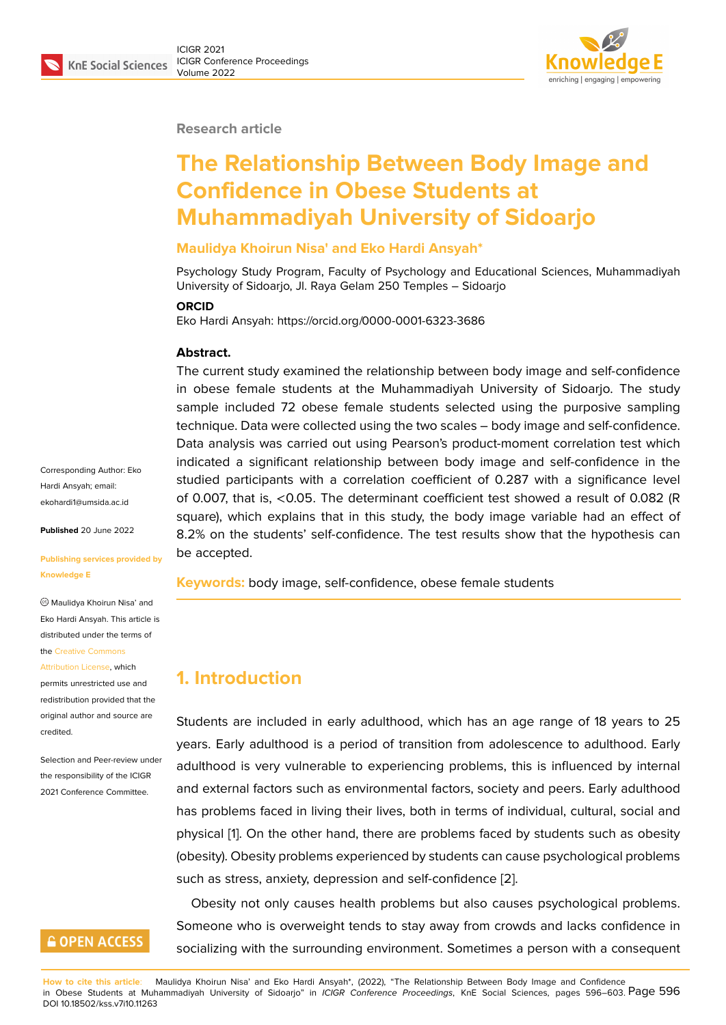#### **Research article**

# **The Relationship Between Body Image and Confidence in Obese Students at Muhammadiyah University of Sidoarjo**

#### **Maulidya Khoirun Nisa' and Eko Hardi Ansyah\***

Psychology Study Program, Faculty of Psychology and Educational Sciences, Muhammadiyah University of Sidoarjo, Jl. Raya Gelam 250 Temples – Sidoarjo

#### **ORCID**

Eko Hardi Ansyah: https://orcid.org/0000-0001-6323-3686

#### **Abstract.**

The current study examined the relationship between body image and self-confidence in obese female students at the Muhammadiyah University of Sidoarjo. The study sample included 72 obese female students selected using the purposive sampling technique. Data were collected using the two scales – body image and self-confidence. Data analysis was carried out using Pearson's product-moment correlation test which indicated a significant relationship between body image and self-confidence in the studied participants with a correlation coefficient of 0.287 with a significance level of 0.007, that is, <0.05. The determinant coefficient test showed a result of 0.082 (R square), which explains that in this study, the body image variable had an effect of 8.2% on the students' self-confidence. The test results show that the hypothesis can be accepted.

**Keywords:** body image, self-confidence, obese female students

### **1. Introduction**

Students are included in early adulthood, which has an age range of 18 years to 25 years. Early adulthood is a period of transition from adolescence to adulthood. Early adulthood is very vulnerable to experiencing problems, this is influenced by internal and external factors such as environmental factors, society and peers. Early adulthood has problems faced in living their lives, both in terms of individual, cultural, social and physical [1]. On the other hand, there are problems faced by students such as obesity (obesity). Obesity problems experienced by students can cause psychological problems such as stress, anxiety, depression and self-confidence [2].

Obesit[y](#page-6-0) not only causes health problems but also causes psychological problems. Someone who is overweight tends to stay away from crowds and lacks confidence in socializing with the surrounding environment. Sometim[es](#page-6-1) a person with a consequent

Corresponding Author: Eko Hardi Ansyah; email: ekohardi1@umsida.ac.id

**Published** 20 June 2022

#### **[Publishing services pro](mailto:ekohardi1@umsida.ac.id)vided by Knowledge E**

Maulidya Khoirun Nisa' and Eko Hardi Ansyah. This article is distributed under the terms of the Creative Commons

Attribution License, which permits unrestricted use and redistribution provided that the orig[inal author and sou](https://creativecommons.org/licenses/by/4.0/)rce are [credited.](https://creativecommons.org/licenses/by/4.0/)

Selection and Peer-review under the responsibility of the ICIGR 2021 Conference Committee.

### **GOPEN ACCESS**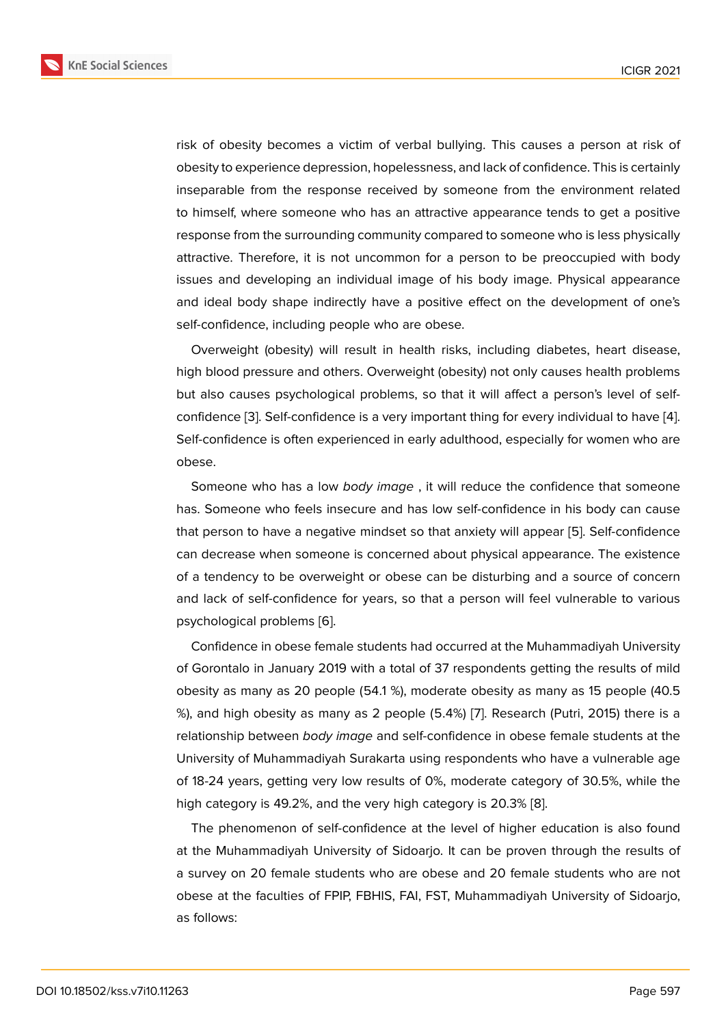risk of obesity becomes a victim of verbal bullying. This causes a person at risk of obesity to experience depression, hopelessness, and lack of confidence. This is certainly inseparable from the response received by someone from the environment related to himself, where someone who has an attractive appearance tends to get a positive response from the surrounding community compared to someone who is less physically attractive. Therefore, it is not uncommon for a person to be preoccupied with body issues and developing an individual image of his body image. Physical appearance and ideal body shape indirectly have a positive effect on the development of one's self-confidence, including people who are obese.

Overweight (obesity) will result in health risks, including diabetes, heart disease, high blood pressure and others. Overweight (obesity) not only causes health problems but also causes psychological problems, so that it will affect a person's level of selfconfidence [3]. Self-confidence is a very important thing for every individual to have [4]. Self-confidence is often experienced in early adulthood, especially for women who are obese.

Someon[e w](#page-6-2)ho has a low *body image* , it will reduce the confidence that someo[ne](#page-7-0) has. Someone who feels insecure and has low self-confidence in his body can cause that person to have a negative mindset so that anxiety will appear [5]. Self-confidence can decrease when someone is concerned about physical appearance. The existence of a tendency to be overweight or obese can be disturbing and a source of concern and lack of self-confidence for years, so that a person will feel vu[ln](#page-7-1)erable to various psychological problems [6].

Confidence in obese female students had occurred at the Muhammadiyah University of Gorontalo in January 2019 with a total of 37 respondents getting the results of mild obesity as many as 20 [peo](#page-7-2)ple (54.1 %), moderate obesity as many as 15 people (40.5 %), and high obesity as many as 2 people (5.4%) [7]. Research (Putri, 2015) there is a relationship between *body image* and self-confidence in obese female students at the University of Muhammadiyah Surakarta using respondents who have a vulnerable age of 18-24 years, getting very low results of 0%, mo[de](#page-7-3)rate category of 30.5%, while the high category is 49.2%, and the very high category is 20.3% [8].

The phenomenon of self-confidence at the level of higher education is also found at the Muhammadiyah University of Sidoarjo. It can be proven through the results of a survey on 20 female students who are obese and 20 fem[al](#page-7-4)e students who are not obese at the faculties of FPIP, FBHIS, FAI, FST, Muhammadiyah University of Sidoarjo, as follows: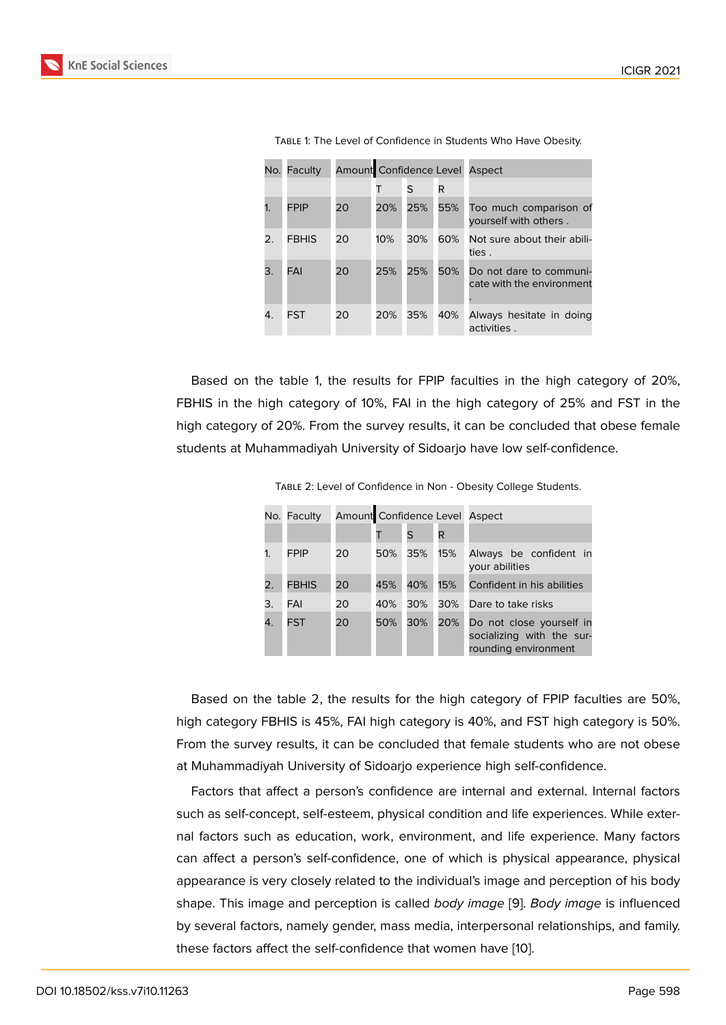| No.            | Faculty      |    | Amount Confidence Level Aspect |     |     |                                                      |
|----------------|--------------|----|--------------------------------|-----|-----|------------------------------------------------------|
|                |              |    |                                | S   | R   |                                                      |
| 1 <sub>1</sub> | <b>FPIP</b>  | 20 | 20%                            | 25% | 55% | Too much comparison of<br>yourself with others.      |
| 2.             | <b>FBHIS</b> | 20 | 10%                            | 30% | 60% | Not sure about their abili-<br>ties .                |
| 3.             | FAI          | 20 | 25%                            | 25% | 50% | Do not dare to communi-<br>cate with the environment |
| 4.             | FST          | 20 | 20%                            | 35% | 40% | Always hesitate in doing<br>activities.              |

Table 1: The Level of Confidence in Students Who Have Obesity.

Based on the table 1, the results for FPIP faculties in the high category of 20%, FBHIS in the high category of 10%, FAI in the high category of 25% and FST in the high category of 20%. From the survey results, it can be concluded that obese female students at Muhammadiyah University of Sidoarjo have low self-confidence.

|                | No. Faculty  |    | Amount Confidence Level Aspect |     |     |                                                                               |  |
|----------------|--------------|----|--------------------------------|-----|-----|-------------------------------------------------------------------------------|--|
|                |              |    |                                | S   | R   |                                                                               |  |
|                | <b>FPIP</b>  | 20 | 50%                            | 35% | 15% | Always be confident in<br>your abilities                                      |  |
| $\mathbf{2}$ . | <b>FBHIS</b> | 20 | 45%                            | 40% | 15% | Confident in his abilities                                                    |  |
| 3.             | FAI          | 20 | 40%                            | 30% | 30% | Dare to take risks                                                            |  |
| 4.             | <b>FST</b>   | 20 | 50%                            | 30% | 20% | Do not close yourself in<br>socializing with the sur-<br>rounding environment |  |

Table 2: Level of Confidence in Non - Obesity College Students.

Based on the table 2, the results for the high category of FPIP faculties are 50%, high category FBHIS is 45%, FAI high category is 40%, and FST high category is 50%. From the survey results, it can be concluded that female students who are not obese at Muhammadiyah University of Sidoarjo experience high self-confidence.

Factors that affect a person's confidence are internal and external. Internal factors such as self-concept, self-esteem, physical condition and life experiences. While external factors such as education, work, environment, and life experience. Many factors can affect a person's self-confidence, one of which is physical appearance, physical appearance is very closely related to the individual's image and perception of his body shape. This image and perception is called *body image* [9]. *Body image* is influenced by several factors, namely gender, mass media, interpersonal relationships, and family. these factors affect the self-confidence that women have [10].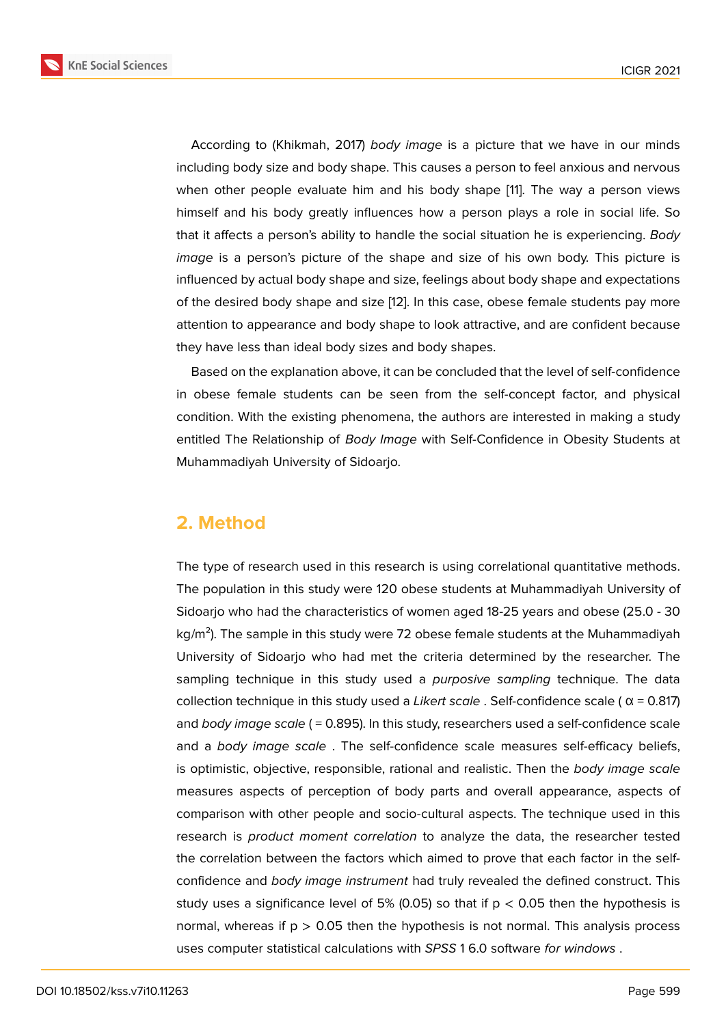According to (Khikmah, 2017) *body image* is a picture that we have in our minds including body size and body shape. This causes a person to feel anxious and nervous when other people evaluate him and his body shape [11]. The way a person views himself and his body greatly influences how a person plays a role in social life. So that it affects a person's ability to handle the social situation he is experiencing. *Body image* is a person's picture of the shape and size of [his](#page-7-5) own body. This picture is influenced by actual body shape and size, feelings about body shape and expectations of the desired body shape and size [12]. In this case, obese female students pay more attention to appearance and body shape to look attractive, and are confident because they have less than ideal body sizes and body shapes.

Based on the explanation above, it can be concluded that the level of self-confidence in obese female students can be seen from the self-concept factor, and physical condition. With the existing phenomena, the authors are interested in making a study entitled The Relationship of *Body Image* with Self-Confidence in Obesity Students at Muhammadiyah University of Sidoarjo.

### **2. Method**

The type of research used in this research is using correlational quantitative methods. The population in this study were 120 obese students at Muhammadiyah University of Sidoarjo who had the characteristics of women aged 18-25 years and obese (25.0 - 30  $kg/m<sup>2</sup>$ ). The sample in this study were 72 obese female students at the Muhammadiyah University of Sidoarjo who had met the criteria determined by the researcher. The sampling technique in this study used a *purposive sampling* technique. The data collection technique in this study used a *Likert scale* . Self-confidence scale ( α = 0.817) and *body image scale* ( = 0.895). In this study, researchers used a self-confidence scale and a *body image scale* . The self-confidence scale measures self-efficacy beliefs, is optimistic, objective, responsible, rational and realistic. Then the *body image scale* measures aspects of perception of body parts and overall appearance, aspects of comparison with other people and socio-cultural aspects. The technique used in this research is *product moment correlation* to analyze the data, the researcher tested the correlation between the factors which aimed to prove that each factor in the selfconfidence and *body image instrument* had truly revealed the defined construct. This study uses a significance level of 5% (0.05) so that if  $p < 0.05$  then the hypothesis is normal, whereas if  $p > 0.05$  then the hypothesis is not normal. This analysis process uses computer statistical calculations with *SPSS* 1 6.0 software *for windows* .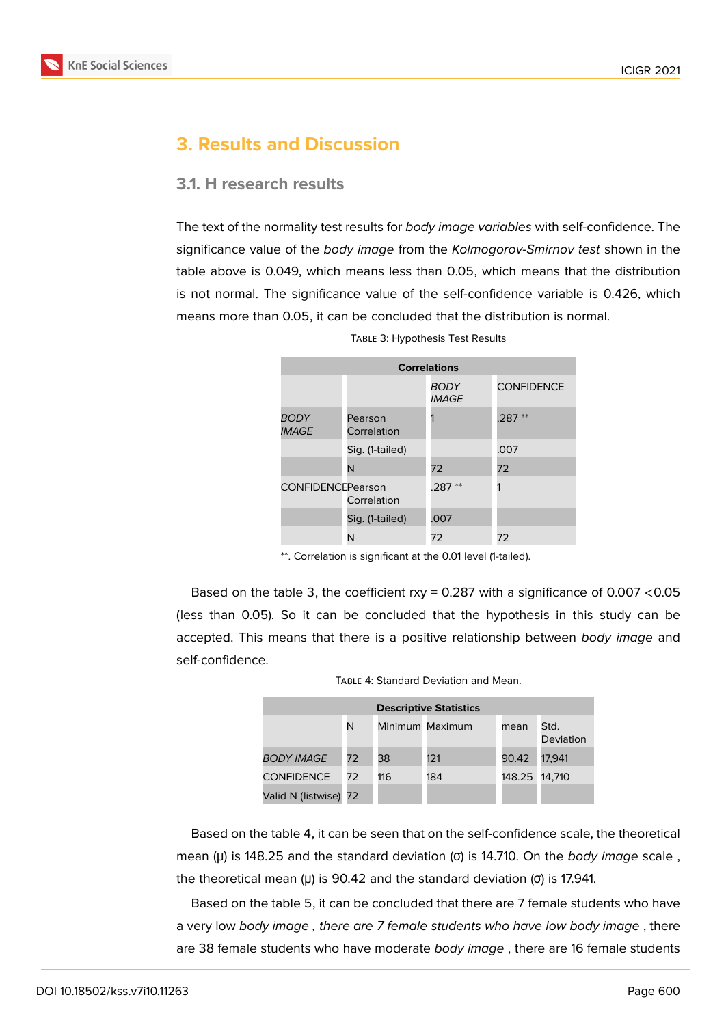

## **3. Results and Discussion**

#### **3.1. H research results**

The text of the normality test results for *body image variables* with self-confidence. The significance value of the *body image* from the *Kolmogorov-Smirnov test* shown in the table above is 0.049, which means less than 0.05, which means that the distribution is not normal. The significance value of the self-confidence variable is 0.426, which means more than 0.05, it can be concluded that the distribution is normal.

| <b>Correlations</b>         |                        |                                    |                   |  |  |
|-----------------------------|------------------------|------------------------------------|-------------------|--|--|
|                             |                        | <b>BODY</b><br><i><b>IMAGE</b></i> | <b>CONFIDENCE</b> |  |  |
| BODY<br><i><b>IMAGE</b></i> | Pearson<br>Correlation |                                    | **<br>.287        |  |  |
|                             | Sig. (1-tailed)        |                                    | .007              |  |  |
|                             | N                      | 72                                 | 72                |  |  |
| <b>CONFIDENCEPearson</b>    | Correlation            | $.287**$                           |                   |  |  |
|                             | Sig. (1-tailed)        | .007                               |                   |  |  |
|                             | N                      | 72                                 | 72                |  |  |

Table 3: Hypothesis Test Results

\*\*. Correlation is significant at the 0.01 level (1-tailed).

Based on the table 3, the coefficient rxy = 0.287 with a significance of 0.007 <0.05 (less than 0.05). So it can be concluded that the hypothesis in this study can be accepted. This means that there is a positive relationship between *body image* and self-confidence.

| TABLE 4: Standard Deviation and Mean. |
|---------------------------------------|
|---------------------------------------|

| <b>Descriptive Statistics</b> |    |     |                 |        |                   |  |
|-------------------------------|----|-----|-----------------|--------|-------------------|--|
|                               | N  |     | Minimum Maximum | mean   | Std.<br>Deviation |  |
| <b>BODY IMAGE</b>             | 72 | 38  | 121             | 90.42  | 17.941            |  |
| <b>CONFIDENCE</b>             | 72 | 116 | 184             | 148.25 | 14,710            |  |
| Valid N (listwise)            | 72 |     |                 |        |                   |  |

Based on the table 4, it can be seen that on the self-confidence scale, the theoretical mean (μ) is 148.25 and the standard deviation (σ) is 14.710. On the *body image* scale , the theoretical mean (μ) is 90.42 and the standard deviation (σ) is 17.941.

Based on the table 5, it can be concluded that there are 7 female students who have a very low *body image , there are 7 female students who have low body image* , there are 38 female students who have moderate *body image* , there are 16 female students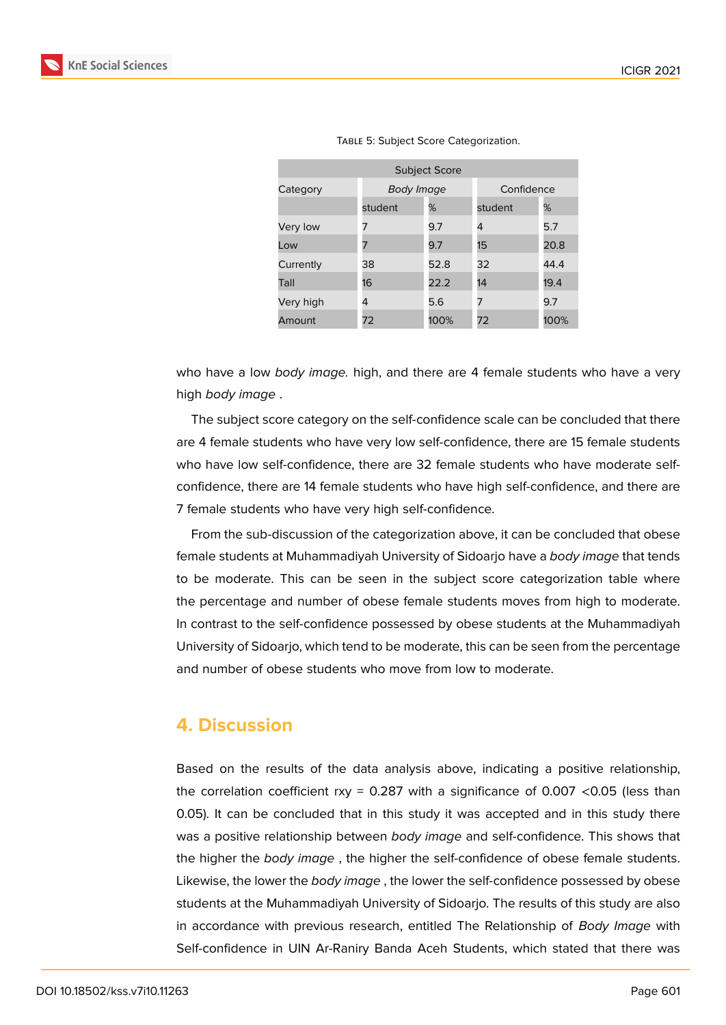Category *Body Image* Confidence



|          |                      | TABLE 5: Subject Score Categorization. |  |  |  |  |
|----------|----------------------|----------------------------------------|--|--|--|--|
|          | <b>Subject Score</b> |                                        |  |  |  |  |
| Category | Body Imaae           |                                        |  |  |  |  |

Very low 7 9.7 4 5.7 Low 7 9.7 15 20.8 Currently 38 52.8 32 44.4 Tall 16 22.2 14 19.4 Very high 4 5.6 7 9.7 Amount 72 100% 72 100%

who have a low *body image.* high, and there are 4 female students who have a very high *body image* .

student % student %

The subject score category on the self-confidence scale can be concluded that there are 4 female students who have very low self-confidence, there are 15 female students who have low self-confidence, there are 32 female students who have moderate selfconfidence, there are 14 female students who have high self-confidence, and there are 7 female students who have very high self-confidence.

From the sub-discussion of the categorization above, it can be concluded that obese female students at Muhammadiyah University of Sidoarjo have a *body image* that tends to be moderate. This can be seen in the subject score categorization table where the percentage and number of obese female students moves from high to moderate. In contrast to the self-confidence possessed by obese students at the Muhammadiyah University of Sidoarjo, which tend to be moderate, this can be seen from the percentage and number of obese students who move from low to moderate.

### **4. Discussion**

Based on the results of the data analysis above, indicating a positive relationship, the correlation coefficient rxy =  $0.287$  with a significance of  $0.007$  <0.05 (less than 0.05). It can be concluded that in this study it was accepted and in this study there was a positive relationship between *body image* and self-confidence. This shows that the higher the *body image* , the higher the self-confidence of obese female students. Likewise, the lower the *body image* , the lower the self-confidence possessed by obese students at the Muhammadiyah University of Sidoarjo. The results of this study are also in accordance with previous research, entitled The Relationship of *Body Image* with Self-confidence in UIN Ar-Raniry Banda Aceh Students, which stated that there was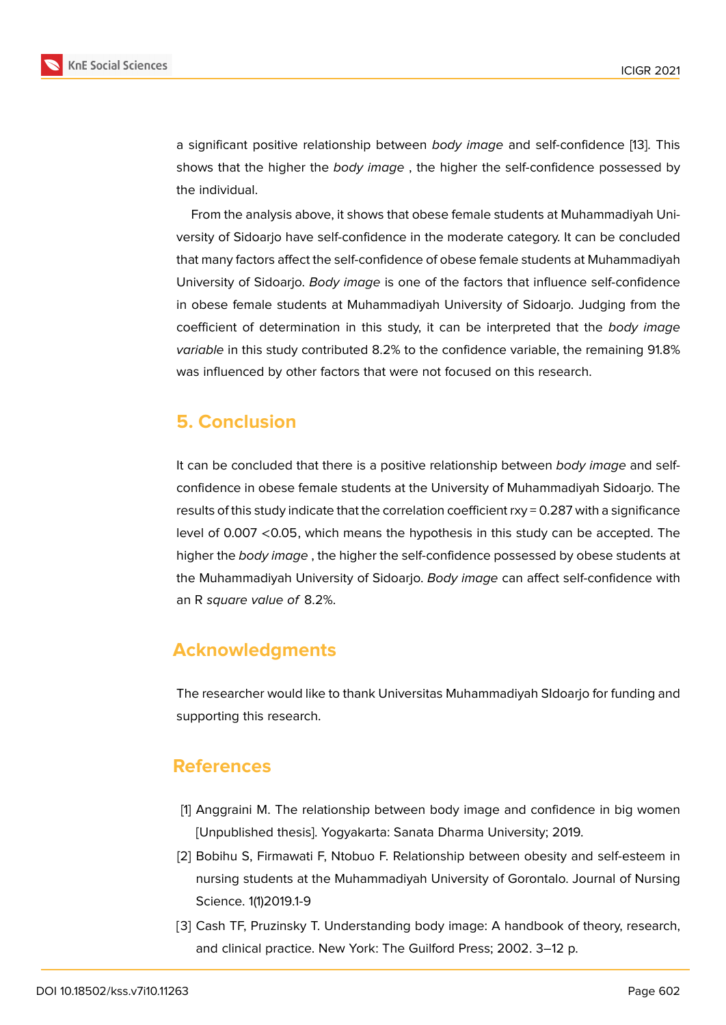

a significant positive relationship between *body image* and self-confidence [13]. This shows that the higher the *body image* , the higher the self-confidence possessed by the individual.

From the analysis above, it shows that obese female students at Muhammadiyah University of Sidoarjo have self-confidence in the moderate category. It can be concluded that many factors affect the self-confidence of obese female students at Muhammadiyah University of Sidoarjo. *Body image* is one of the factors that influence self-confidence in obese female students at Muhammadiyah University of Sidoarjo. Judging from the coefficient of determination in this study, it can be interpreted that the *body image variable* in this study contributed 8.2% to the confidence variable, the remaining 91.8% was influenced by other factors that were not focused on this research.

### **5. Conclusion**

It can be concluded that there is a positive relationship between *body image* and selfconfidence in obese female students at the University of Muhammadiyah Sidoarjo. The results of this study indicate that the correlation coefficient rxy = 0.287 with a significance level of 0.007 <0.05, which means the hypothesis in this study can be accepted. The higher the *body image* , the higher the self-confidence possessed by obese students at the Muhammadiyah University of Sidoarjo. *Body image* can affect self-confidence with an R *square value of* 8.2%.

### **Acknowledgments**

The researcher would like to thank Universitas Muhammadiyah SIdoarjo for funding and supporting this research.

### **References**

- <span id="page-6-0"></span>[1] Anggraini M. The relationship between body image and confidence in big women [Unpublished thesis]. Yogyakarta: Sanata Dharma University; 2019.
- <span id="page-6-1"></span>[2] Bobihu S, Firmawati F, Ntobuo F. Relationship between obesity and self-esteem in nursing students at the Muhammadiyah University of Gorontalo. Journal of Nursing Science. 1(1)2019.1-9
- <span id="page-6-2"></span>[3] Cash TF, Pruzinsky T. Understanding body image: A handbook of theory, research, and clinical practice. New York: The Guilford Press; 2002. 3–12 p.